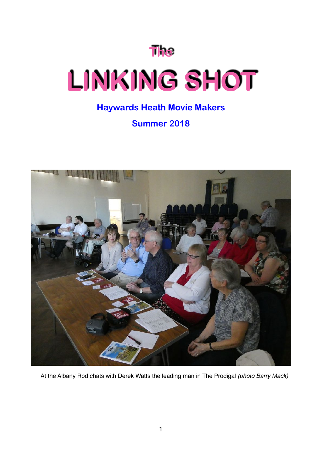**The** 

# **LINKING SHOT**

### **Haywards Heath Movie Makers**

**Summer 2018** 



At the Albany Rod chats with Derek Watts the leading man in The Prodigal *(photo Barry Mack)*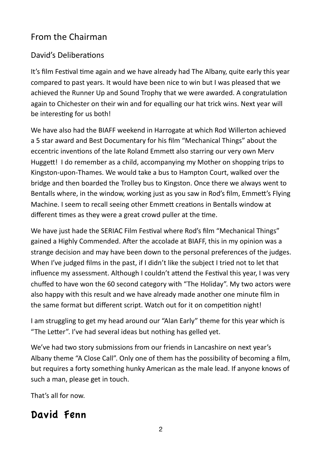## From the Chairman

#### David's Deliberations

It's film Festival time again and we have already had The Albany, quite early this year compared to past vears. It would have been nice to win but I was pleased that we achieved the Runner Up and Sound Trophy that we were awarded. A congratulation again to Chichester on their win and for equalling our hat trick wins. Next year will be interesting for us both!

We have also had the BIAFF weekend in Harrogate at which Rod Willerton achieved a 5 star award and Best Documentary for his film "Mechanical Things" about the eccentric inventions of the late Roland Emmett also starring our very own Merv Huggett! I do remember as a child, accompanying my Mother on shopping trips to Kingston-upon-Thames. We would take a bus to Hampton Court, walked over the bridge and then boarded the Trolley bus to Kingston. Once there we always went to Bentalls where, in the window, working just as you saw in Rod's film, Emmett's Flying Machine. I seem to recall seeing other Emmett creations in Bentalls window at different times as they were a great crowd puller at the time.

We have just hade the SERIAC Film Festival where Rod's film "Mechanical Things" gained a Highly Commended. After the accolade at BIAFF, this in my opinion was a strange decision and may have been down to the personal preferences of the judges. When I've judged films in the past, if I didn't like the subject I tried not to let that influence my assessment. Although I couldn't attend the Festival this year, I was very chuffed to have won the 60 second category with "The Holiday". My two actors were also happy with this result and we have already made another one minute film in the same format but different script. Watch out for it on competition night!

I am struggling to get my head around our "Alan Early" theme for this year which is "The Letter". I've had several ideas but nothing has gelled yet.

We've had two story submissions from our friends in Lancashire on next year's Albany theme "A Close Call". Only one of them has the possibility of becoming a film, but requires a forty something hunky American as the male lead. If anyone knows of such a man, please get in touch.

That's all for now.

# David Fenn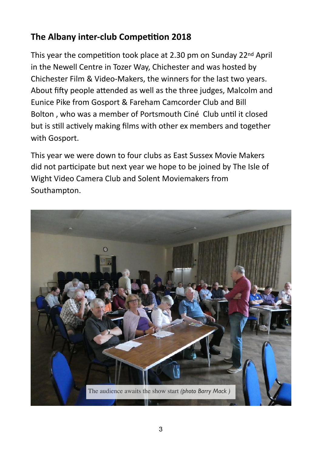# **The Albany inter-club Competition 2018**

This year the competition took place at 2.30 pm on Sunday 22 $nd$  April in the Newell Centre in Tozer Way, Chichester and was hosted by Chichester Film & Video-Makers, the winners for the last two years. About fifty people attended as well as the three judges, Malcolm and Eunice Pike from Gosport & Fareham Camcorder Club and Bill Bolton, who was a member of Portsmouth Ciné Club until it closed but is still actively making films with other ex members and together with Gosport.

This year we were down to four clubs as East Sussex Movie Makers did not participate but next year we hope to be joined by The Isle of Wight Video Camera Club and Solent Moviemakers from Southampton.

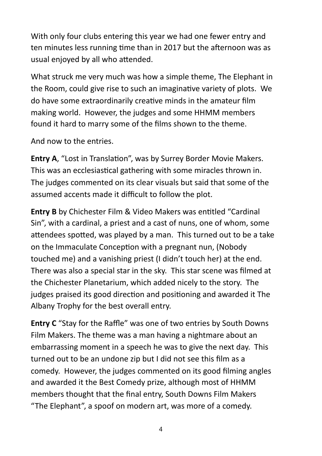With only four clubs entering this year we had one fewer entry and ten minutes less running time than in 2017 but the afternoon was as usual enjoyed by all who attended.

What struck me very much was how a simple theme, The Elephant in the Room, could give rise to such an imaginative variety of plots. We do have some extraordinarily creative minds in the amateur film making world. However, the judges and some HHMM members found it hard to marry some of the films shown to the theme.

And now to the entries.

**Entry A, "Lost in Translation", was by Surrey Border Movie Makers.** This was an ecclesiastical gathering with some miracles thrown in. The judges commented on its clear visuals but said that some of the assumed accents made it difficult to follow the plot.

**Entry B** by Chichester Film & Video Makers was entitled "Cardinal Sin", with a cardinal, a priest and a cast of nuns, one of whom, some attendees spotted, was played by a man. This turned out to be a take on the Immaculate Conception with a pregnant nun, (Nobody touched me) and a vanishing priest (I didn't touch her) at the end. There was also a special star in the sky. This star scene was filmed at the Chichester Planetarium, which added nicely to the story. The judges praised its good direction and positioning and awarded it The Albany Trophy for the best overall entry.

**Entry C** "Stay for the Raffle" was one of two entries by South Downs Film Makers. The theme was a man having a nightmare about an embarrassing moment in a speech he was to give the next day. This turned out to be an undone zip but I did not see this film as a comedy. However, the judges commented on its good filming angles and awarded it the Best Comedy prize, although most of HHMM members thought that the final entry, South Downs Film Makers "The Elephant", a spoof on modern art, was more of a comedy.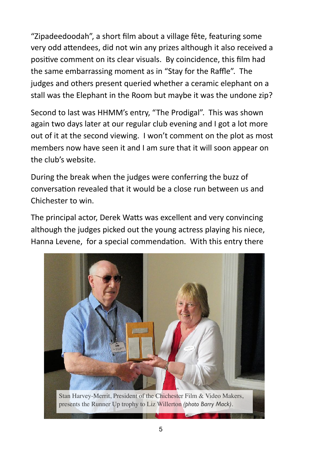"Zipadeedoodah", a short film about a village fête, featuring some very odd attendees, did not win any prizes although it also received a positive comment on its clear visuals. By coincidence, this film had the same embarrassing moment as in "Stay for the Raffle". The judges and others present queried whether a ceramic elephant on a stall was the Elephant in the Room but maybe it was the undone zip?

Second to last was HHMM's entry, "The Prodigal". This was shown again two days later at our regular club evening and I got a lot more out of it at the second viewing. I won't comment on the plot as most members now have seen it and I am sure that it will soon appear on the club's website.

During the break when the judges were conferring the buzz of conversation revealed that it would be a close run between us and Chichester to win.

The principal actor, Derek Watts was excellent and very convincing although the judges picked out the young actress playing his niece, Hanna Levene, for a special commendation. With this entry there

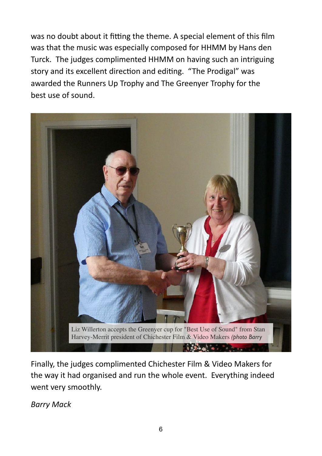was no doubt about it fitting the theme. A special element of this film was that the music was especially composed for HHMM by Hans den Turck. The judges complimented HHMM on having such an intriguing story and its excellent direction and editing. "The Prodigal" was awarded the Runners Up Trophy and The Greenyer Trophy for the best use of sound.



Finally, the judges complimented Chichester Film & Video Makers for the way it had organised and run the whole event. Everything indeed went very smoothly.

*Barry Mack*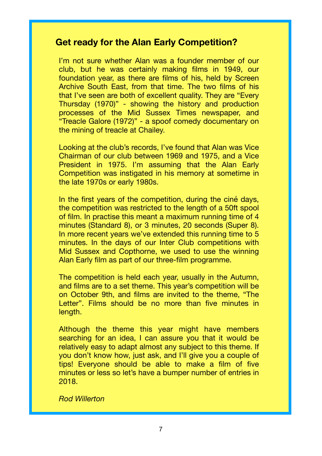#### **Get ready for the Alan Early Competition?**

I'm not sure whether Alan was a founder member of our club, but he was certainly making films in 1949, our foundation year, as there are films of his, held by Screen Archive South East, from that time. The two films of his that I've seen are both of excellent quality. They are "Every Thursday (1970)" - showing the history and production processes of the Mid Sussex Times newspaper, and "Treacle Galore (1972)" - a spoof comedy documentary on the mining of treacle at Chailey.

Looking at the club's records, I've found that Alan was Vice Chairman of our club between 1969 and 1975, and a Vice President in 1975. I'm assuming that the Alan Early Competition was instigated in his memory at sometime in the late 1970s or early 1980s.

In the first years of the competition, during the ciné days, the competition was restricted to the length of a 50ft spool of film. In practise this meant a maximum running time of 4 minutes (Standard 8), or 3 minutes, 20 seconds (Super 8). In more recent years we've extended this running time to 5 minutes. In the days of our Inter Club competitions with Mid Sussex and Copthorne, we used to use the winning Alan Early film as part of our three-film programme.

The competition is held each year, usually in the Autumn, and films are to a set theme. This year's competition will be on October 9th, and films are invited to the theme, "The Letter". Films should be no more than five minutes in length.

Although the theme this year might have members searching for an idea, I can assure you that it would be relatively easy to adapt almost any subject to this theme. If you don't know how, just ask, and I'll give you a couple of tips! Everyone should be able to make a film of five minutes or less so let's have a bumper number of entries in 2018.

*Rod Willerton*